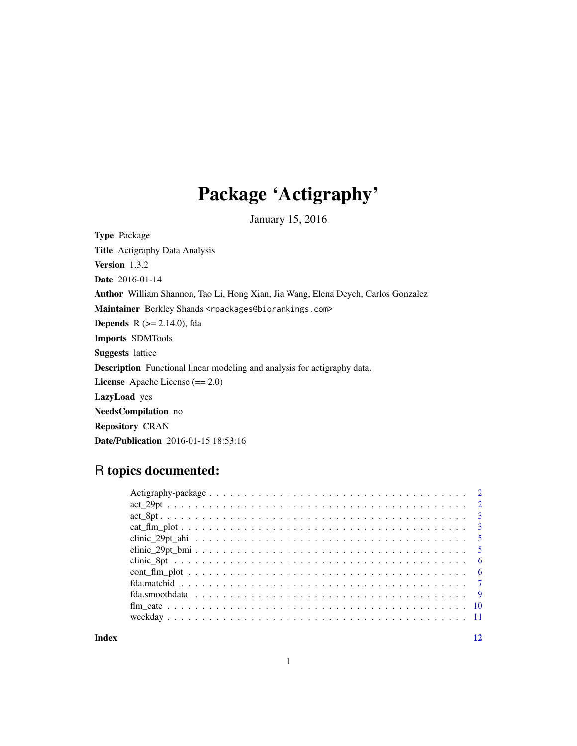## Package 'Actigraphy'

January 15, 2016

Type Package Title Actigraphy Data Analysis Version 1.3.2 Date 2016-01-14 Author William Shannon, Tao Li, Hong Xian, Jia Wang, Elena Deych, Carlos Gonzalez Maintainer Berkley Shands <rpackages@biorankings.com> **Depends** R  $(>= 2.14.0)$ , fda Imports SDMTools Suggests lattice Description Functional linear modeling and analysis for actigraphy data. License Apache License (== 2.0) LazyLoad yes NeedsCompilation no Repository CRAN Date/Publication 2016-01-15 18:53:16

### R topics documented:

**Index** [12](#page-11-0)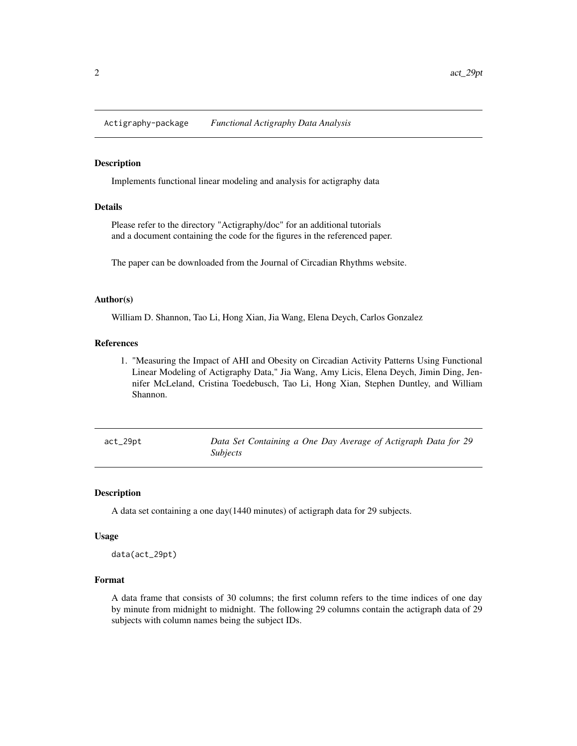<span id="page-1-0"></span>Actigraphy-package *Functional Actigraphy Data Analysis*

#### Description

Implements functional linear modeling and analysis for actigraphy data

#### Details

Please refer to the directory "Actigraphy/doc" for an additional tutorials and a document containing the code for the figures in the referenced paper.

The paper can be downloaded from the Journal of Circadian Rhythms website.

#### Author(s)

William D. Shannon, Tao Li, Hong Xian, Jia Wang, Elena Deych, Carlos Gonzalez

#### References

1. "Measuring the Impact of AHI and Obesity on Circadian Activity Patterns Using Functional Linear Modeling of Actigraphy Data," Jia Wang, Amy Licis, Elena Deych, Jimin Ding, Jennifer McLeland, Cristina Toedebusch, Tao Li, Hong Xian, Stephen Duntley, and William Shannon.

act\_29pt *Data Set Containing a One Day Average of Actigraph Data for 29 Subjects*

#### Description

A data set containing a one day(1440 minutes) of actigraph data for 29 subjects.

#### Usage

data(act\_29pt)

#### Format

A data frame that consists of 30 columns; the first column refers to the time indices of one day by minute from midnight to midnight. The following 29 columns contain the actigraph data of 29 subjects with column names being the subject IDs.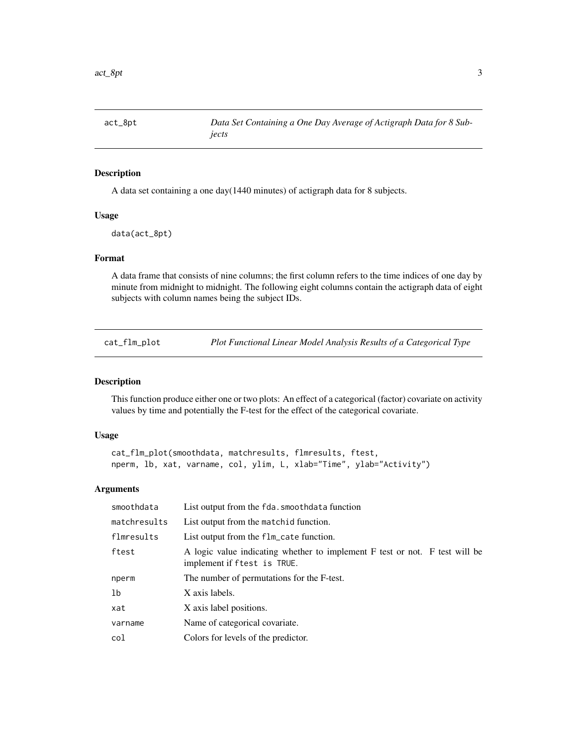<span id="page-2-0"></span>

#### Description

A data set containing a one day(1440 minutes) of actigraph data for 8 subjects.

#### Usage

data(act\_8pt)

#### Format

A data frame that consists of nine columns; the first column refers to the time indices of one day by minute from midnight to midnight. The following eight columns contain the actigraph data of eight subjects with column names being the subject IDs.

cat\_flm\_plot *Plot Functional Linear Model Analysis Results of a Categorical Type*

#### Description

This function produce either one or two plots: An effect of a categorical (factor) covariate on activity values by time and potentially the F-test for the effect of the categorical covariate.

#### Usage

```
cat_flm_plot(smoothdata, matchresults, flmresults, ftest,
nperm, lb, xat, varname, col, ylim, L, xlab="Time", ylab="Activity")
```
#### Arguments

| smoothdata   | List output from the fda. smoothdata function                                                              |
|--------------|------------------------------------------------------------------------------------------------------------|
| matchresults | List output from the matchid function.                                                                     |
| flmresults   | List output from the flm_cate function.                                                                    |
| ftest        | A logic value indicating whether to implement F test or not. F test will be<br>implement if ftest is TRUE. |
| nperm        | The number of permutations for the F-test.                                                                 |
| 1b           | X axis labels.                                                                                             |
| xat          | X axis label positions.                                                                                    |
| varname      | Name of categorical covariate.                                                                             |
| col          | Colors for levels of the predictor.                                                                        |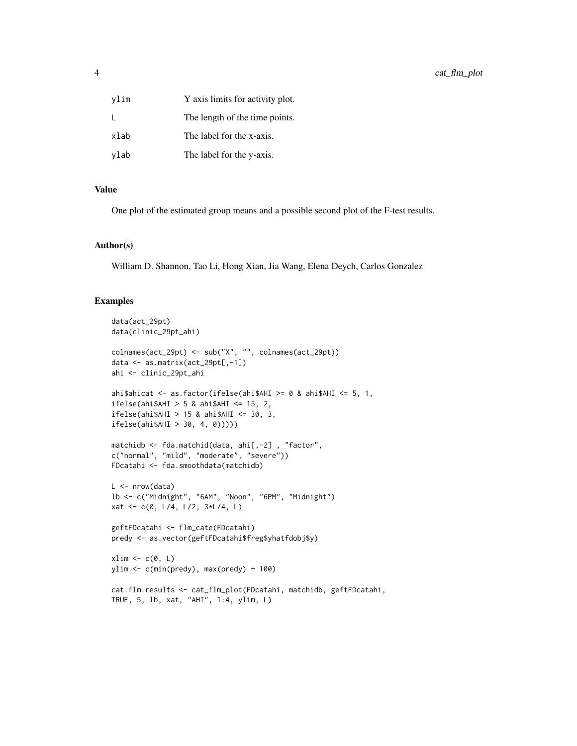| vlim | Y axis limits for activity plot. |
|------|----------------------------------|
| L    | The length of the time points.   |
| xlab | The label for the x-axis.        |
| ylab | The label for the y-axis.        |

#### Value

One plot of the estimated group means and a possible second plot of the F-test results.

#### Author(s)

William D. Shannon, Tao Li, Hong Xian, Jia Wang, Elena Deych, Carlos Gonzalez

```
data(act_29pt)
data(clinic_29pt_ahi)
colnames(act_29pt) <- sub("X", "", colnames(act_29pt))
data <- as.matrix(act_29pt[,-1])
ahi <- clinic_29pt_ahi
ahi$ahicat <- as.factor(ifelse(ahi$AHI >= 0 & ahi$AHI <= 5, 1,
ifelse(ahi$AHI > 5 & ahi$AHI <math>\leq 15</math>, 2,ifelse(ahi$AHI > 15 & ahi$AHI <= 30, 3,
ifelse(ahi$AHI > 30, 4, 0)))))
matchidb <- fda.matchid(data, ahi[,-2], "factor",
c("normal", "mild", "moderate", "severe"))
FDcatahi <- fda.smoothdata(matchidb)
L < - nrow(data)
lb <- c("Midnight", "6AM", "Noon", "6PM", "Midnight")
xat <- c(0, L/4, L/2, 3*L/4, L)
geftFDcatahi <- flm_cate(FDcatahi)
predy <- as.vector(geftFDcatahi$freg$yhatfdobj$y)
xlim \leftarrow c(0, L)ylim <- c(min(predy), max(predy) + 100)
cat.flm.results <- cat_flm_plot(FDcatahi, matchidb, geftFDcatahi,
TRUE, 5, lb, xat, "AHI", 1:4, ylim, L)
```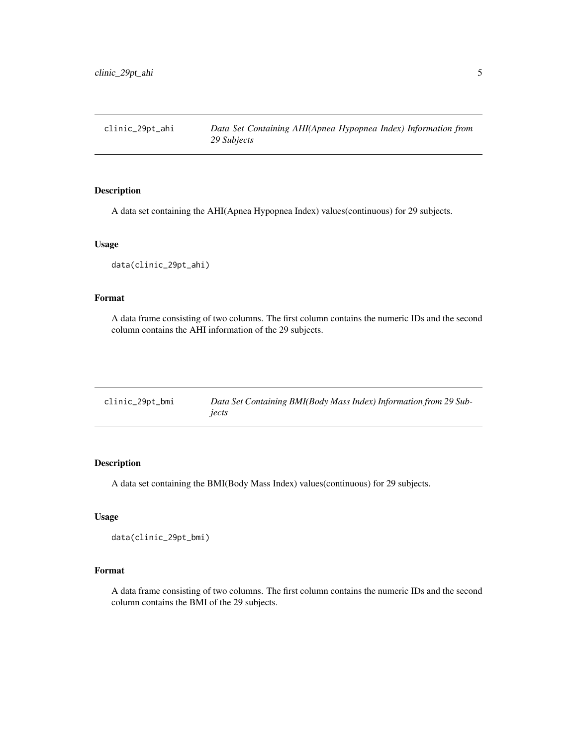<span id="page-4-0"></span>clinic\_29pt\_ahi *Data Set Containing AHI(Apnea Hypopnea Index) Information from 29 Subjects*

#### Description

A data set containing the AHI(Apnea Hypopnea Index) values(continuous) for 29 subjects.

#### Usage

data(clinic\_29pt\_ahi)

#### Format

A data frame consisting of two columns. The first column contains the numeric IDs and the second column contains the AHI information of the 29 subjects.

| clinic_29pt_bmi | Data Set Containing BMI(Body Mass Index) Information from 29 Sub- |
|-----------------|-------------------------------------------------------------------|
|                 | iects                                                             |

#### Description

A data set containing the BMI(Body Mass Index) values(continuous) for 29 subjects.

#### Usage

data(clinic\_29pt\_bmi)

#### Format

A data frame consisting of two columns. The first column contains the numeric IDs and the second column contains the BMI of the 29 subjects.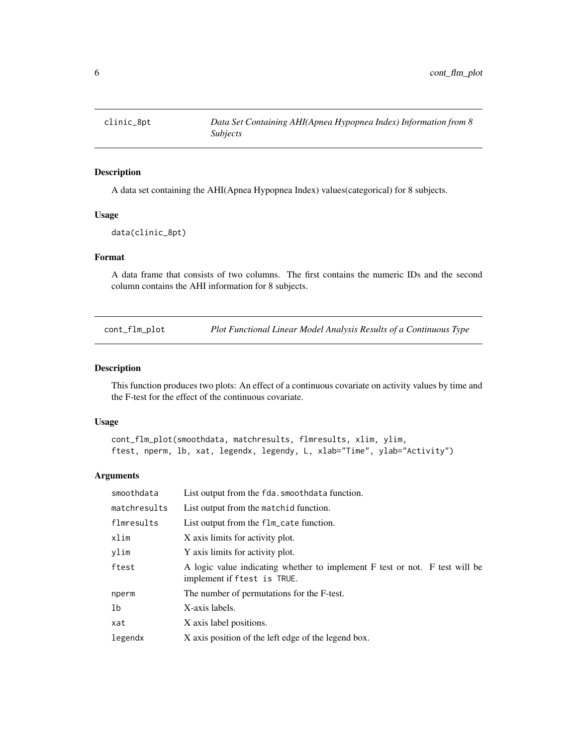<span id="page-5-0"></span>

#### Description

A data set containing the AHI(Apnea Hypopnea Index) values(categorical) for 8 subjects.

#### Usage

data(clinic\_8pt)

#### Format

A data frame that consists of two columns. The first contains the numeric IDs and the second column contains the AHI information for 8 subjects.

cont\_flm\_plot *Plot Functional Linear Model Analysis Results of a Continuous Type*

#### Description

This function produces two plots: An effect of a continuous covariate on activity values by time and the F-test for the effect of the continuous covariate.

#### Usage

```
cont_flm_plot(smoothdata, matchresults, flmresults, xlim, ylim,
ftest, nperm, lb, xat, legendx, legendy, L, xlab="Time", ylab="Activity")
```
#### Arguments

| smoothdata   | List output from the fda. smoothdata function.                                                             |
|--------------|------------------------------------------------------------------------------------------------------------|
| matchresults | List output from the matchid function.                                                                     |
| flmresults   | List output from the flm_cate function.                                                                    |
| xlim         | X axis limits for activity plot.                                                                           |
| vlim         | Y axis limits for activity plot.                                                                           |
| ftest        | A logic value indicating whether to implement F test or not. F test will be<br>implement if ftest is TRUE. |
| nperm        | The number of permutations for the F-test.                                                                 |
| 1b           | X-axis labels.                                                                                             |
| xat          | X axis label positions.                                                                                    |
| legendx      | X axis position of the left edge of the legend box.                                                        |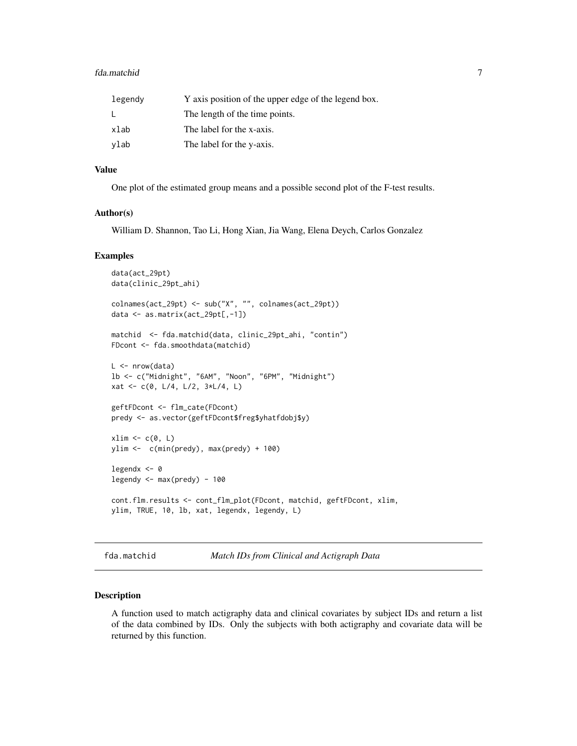#### <span id="page-6-0"></span>fda.matchid 7

| legendy | Y axis position of the upper edge of the legend box. |
|---------|------------------------------------------------------|
|         | The length of the time points.                       |
| xlab    | The label for the x-axis.                            |
| ylab    | The label for the y-axis.                            |

#### Value

One plot of the estimated group means and a possible second plot of the F-test results.

#### Author(s)

William D. Shannon, Tao Li, Hong Xian, Jia Wang, Elena Deych, Carlos Gonzalez

#### Examples

```
data(act_29pt)
data(clinic_29pt_ahi)
colnames(act_29pt) <- sub("X", "", colnames(act_29pt))
data <- as.matrix(act_29pt[,-1])
matchid <- fda.matchid(data, clinic_29pt_ahi, "contin")
FDcont <- fda.smoothdata(matchid)
L < - nrow(data)
lb <- c("Midnight", "6AM", "Noon", "6PM", "Midnight")
xat <- c(0, L/4, L/2, 3*L/4, L)
geftFDcont <- flm_cate(FDcont)
predy <- as.vector(geftFDcont$freg$yhatfdobj$y)
xlim \leftarrow c(0, L)ylim <- c(min(predy), max(predy) + 100)
legendx <- 0
legendy <- max(predy) - 100
cont.flm.results <- cont_flm_plot(FDcont, matchid, geftFDcont, xlim,
ylim, TRUE, 10, lb, xat, legendx, legendy, L)
```

```
fda.matchid Match IDs from Clinical and Actigraph Data
```
#### **Description**

A function used to match actigraphy data and clinical covariates by subject IDs and return a list of the data combined by IDs. Only the subjects with both actigraphy and covariate data will be returned by this function.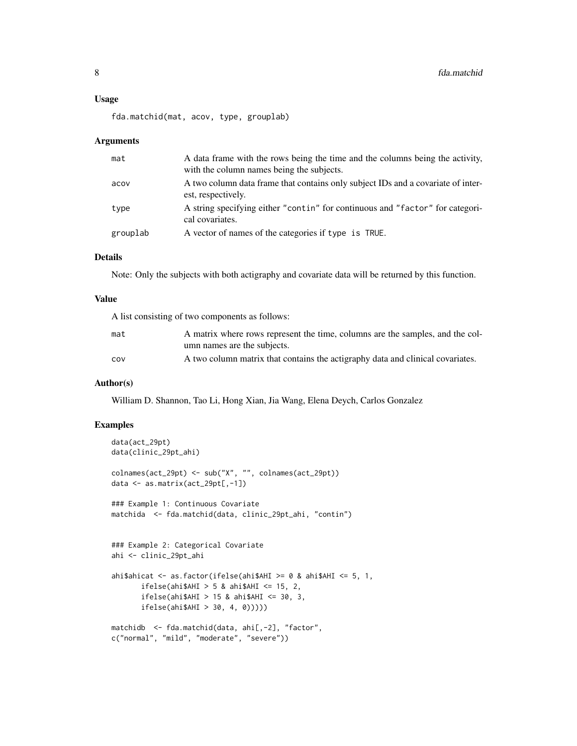fda.matchid(mat, acov, type, grouplab)

#### **Arguments**

| mat      | A data frame with the rows being the time and the columns being the activity,<br>with the column names being the subjects. |
|----------|----------------------------------------------------------------------------------------------------------------------------|
| acov     | A two column data frame that contains only subject IDs and a covariate of inter-<br>est, respectively.                     |
| type     | A string specifying either "contin" for continuous and "factor" for categori-<br>cal covariates.                           |
| grouplab | A vector of names of the categories if type is TRUE.                                                                       |

#### Details

Note: Only the subjects with both actigraphy and covariate data will be returned by this function.

#### Value

A list consisting of two components as follows:

| mat | A matrix where rows represent the time, columns are the samples, and the col-  |
|-----|--------------------------------------------------------------------------------|
|     | umn names are the subjects.                                                    |
| COV | A two column matrix that contains the actigraphy data and clinical covariates. |

#### Author(s)

William D. Shannon, Tao Li, Hong Xian, Jia Wang, Elena Deych, Carlos Gonzalez

```
data(act_29pt)
data(clinic_29pt_ahi)
colnames(act_29pt) <- sub("X", "", colnames(act_29pt))
data <- as.matrix(act_29pt[,-1])
### Example 1: Continuous Covariate
matchida <- fda.matchid(data, clinic_29pt_ahi, "contin")
### Example 2: Categorical Covariate
ahi <- clinic_29pt_ahi
ahi$ahicat <- as.factor(ifelse(ahi$AHI >= 0 & ahi$AHI <= 5, 1,
       ifelse(ahi$AHI > 5 & ahi$AHI <= 15, 2,
       ifelse(ahi$AHI > 15 & ahi$AHI < = 30, 3,ifelse(ahi$AHI > 30, 4, 0)))))
matchidb <- fda.matchid(data, ahi[,-2], "factor",
c("normal", "mild", "moderate", "severe"))
```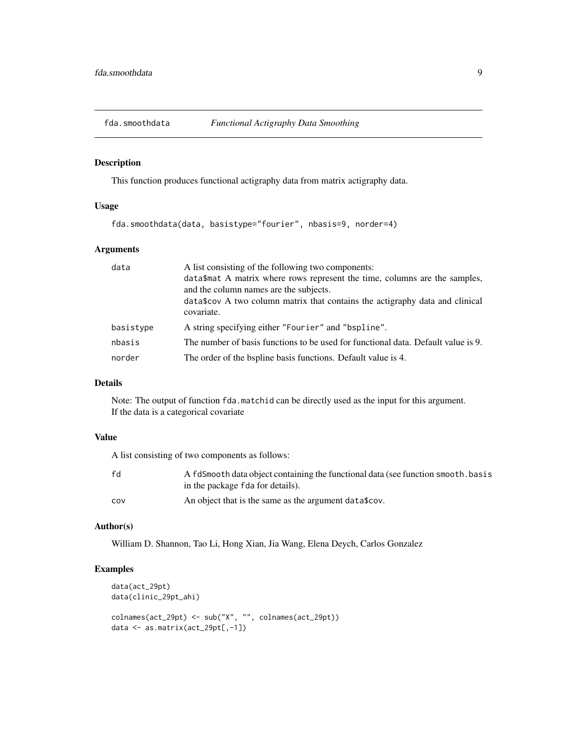<span id="page-8-0"></span>

#### Description

This function produces functional actigraphy data from matrix actigraphy data.

#### Usage

fda.smoothdata(data, basistype="fourier", nbasis=9, norder=4)

#### Arguments

| data      | A list consisting of the following two components:<br>data\$mat A matrix where rows represent the time, columns are the samples,<br>and the column names are the subjects.<br>data\$cov A two column matrix that contains the actigraphy data and clinical<br>covariate. |
|-----------|--------------------------------------------------------------------------------------------------------------------------------------------------------------------------------------------------------------------------------------------------------------------------|
| basistype | A string specifying either "Fourier" and "bspline".                                                                                                                                                                                                                      |
| nbasis    | The number of basis functions to be used for functional data. Default value is 9.                                                                                                                                                                                        |
| norder    | The order of the bspline basis functions. Default value is 4.                                                                                                                                                                                                            |

#### Details

Note: The output of function fda.matchid can be directly used as the input for this argument. If the data is a categorical covariate

#### Value

A list consisting of two components as follows:

| fd  | A fdSmooth data object containing the functional data (see function smooth, basis<br>in the package fda for details). |
|-----|-----------------------------------------------------------------------------------------------------------------------|
| COV | An object that is the same as the argument data \$cov.                                                                |

#### Author(s)

William D. Shannon, Tao Li, Hong Xian, Jia Wang, Elena Deych, Carlos Gonzalez

```
data(act_29pt)
data(clinic_29pt_ahi)
colnames(act_29pt) <- sub("X", "", colnames(act_29pt))
data <- as.matrix(act_29pt[,-1])
```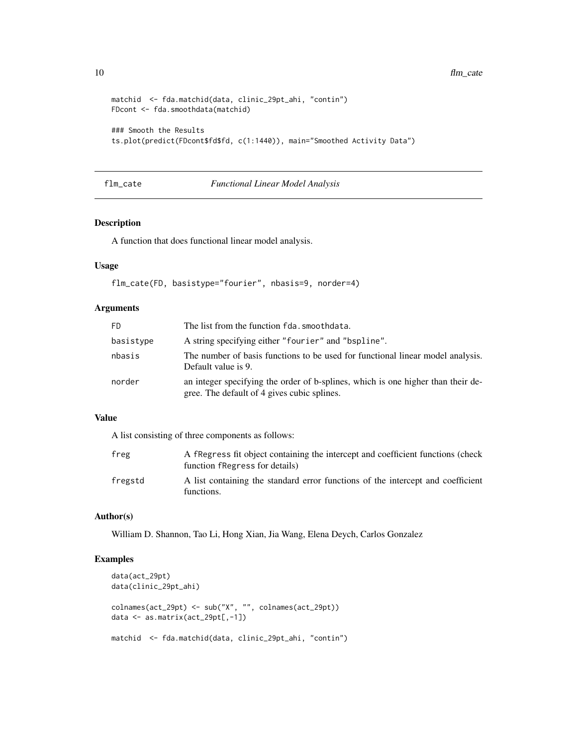```
matchid <- fda.matchid(data, clinic_29pt_ahi, "contin")
FDcont <- fda.smoothdata(matchid)
### Smooth the Results
ts.plot(predict(FDcont$fd$fd, c(1:1440)), main="Smoothed Activity Data")
```
#### flm\_cate *Functional Linear Model Analysis*

#### Description

A function that does functional linear model analysis.

#### Usage

```
flm_cate(FD, basistype="fourier", nbasis=9, norder=4)
```
#### Arguments

| F <sub>D</sub> | The list from the function fda. smoothdata.                                                                                     |
|----------------|---------------------------------------------------------------------------------------------------------------------------------|
| basistype      | A string specifying either "fourier" and "bspline".                                                                             |
| nbasis         | The number of basis functions to be used for functional linear model analysis.<br>Default value is 9.                           |
| norder         | an integer specifying the order of b-splines, which is one higher than their de-<br>gree. The default of 4 gives cubic splines. |

#### Value

A list consisting of three components as follows:

| freg    | A fregress fit object containing the intercept and coefficient functions (check<br>function free ress for details) |
|---------|--------------------------------------------------------------------------------------------------------------------|
| fregstd | A list containing the standard error functions of the intercept and coefficient<br>functions.                      |

#### Author(s)

William D. Shannon, Tao Li, Hong Xian, Jia Wang, Elena Deych, Carlos Gonzalez

```
data(act_29pt)
data(clinic_29pt_ahi)
colnames(act_29pt) <- sub("X", "", colnames(act_29pt))
data <- as.matrix(act_29pt[,-1])
matchid <- fda.matchid(data, clinic_29pt_ahi, "contin")
```
<span id="page-9-0"></span>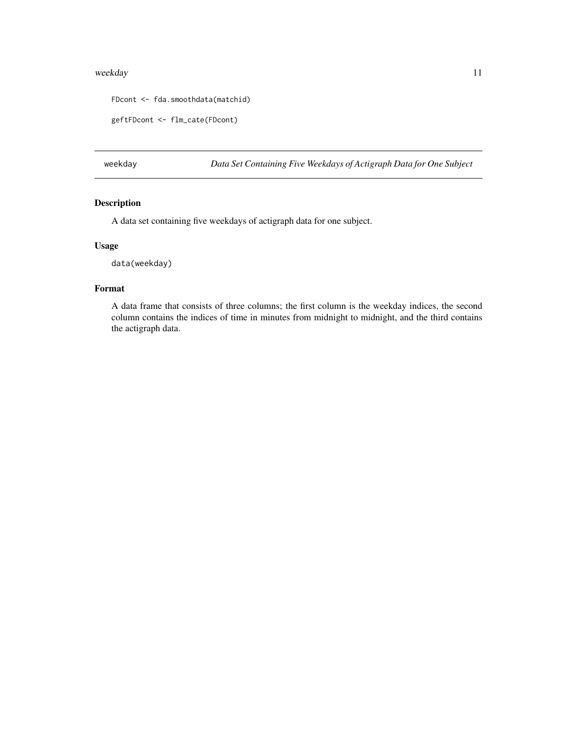#### <span id="page-10-0"></span>weekday and the state of the state of the state of the state of the state of the state of the state of the state of the state of the state of the state of the state of the state of the state of the state of the state of th

```
FDcont <- fda.smoothdata(matchid)
```
geftFDcont <- flm\_cate(FDcont)

weekday *Data Set Containing Five Weekdays of Actigraph Data for One Subject*

#### Description

A data set containing five weekdays of actigraph data for one subject.

#### Usage

data(weekday)

#### Format

A data frame that consists of three columns; the first column is the weekday indices, the second column contains the indices of time in minutes from midnight to midnight, and the third contains the actigraph data.